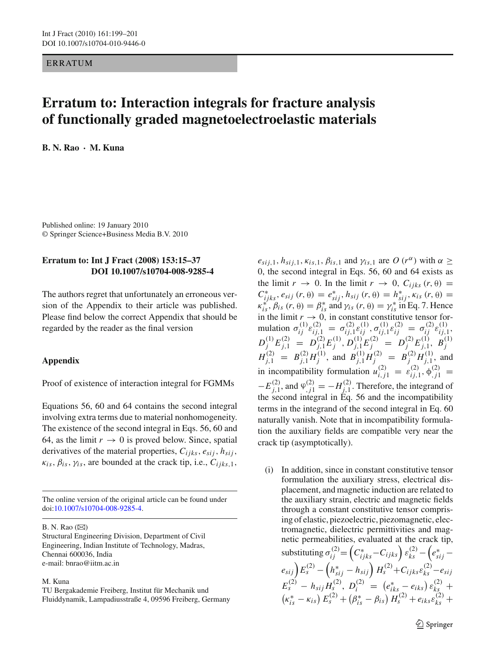ERRATUM

## **Erratum to: Interaction integrals for fracture analysis of functionally graded magnetoelectroelastic materials**

**B. N. Rao · M. Kuna**

Published online: 19 January 2010 © Springer Science+Business Media B.V. 2010

## **Erratum to: Int J Fract (2008) 153:15–37 DOI 10.1007/s10704-008-9285-4**

The authors regret that unfortunately an erroneous version of the Appendix to their article was published. Please find below the correct Appendix that should be regarded by the reader as the final version

## **Appendix**

Proof of existence of interaction integral for FGMMs

Equations 56, 60 and 64 contains the second integral involving extra terms due to material nonhomogeneity. The existence of the second integral in Eqs. 56, 60 and 64, as the limit  $r \to 0$  is proved below. Since, spatial derivatives of the material properties, *Cijks*, *esij*, *hsij*,  $\kappa_{is}, \beta_{is}, \gamma_{is}$ , are bounded at the crack tip, i.e.,  $C_{ijks,1}$ ,

The online version of the original article can be found under doi[:10.1007/s10704-008-9285-4.](http://dx.doi.org/10.1007/s10704-008-9285-4)

B. N. Rao  $(\boxtimes)$ 

Structural Engineering Division, Department of Civil Engineering, Indian Institute of Technology, Madras, Chennai 600036, India e-mail: bnrao@iitm.ac.in

## M. Kuna

 $e_{sij,1}, h_{sij,1}, \kappa_{is,1}, \beta_{is,1}$  and  $\gamma_{is,1}$  are  $O(r^{\alpha})$  with  $\alpha \geq$ 0, the second integral in Eqs. 56, 60 and 64 exists as the limit  $r \to 0$ . In the limit  $r \to 0$ ,  $C_{ijks}(r, \theta) =$ *C*<sup>\*</sup><sub>*ijks*</sub>, *e<sub>sij</sub>* (*r*, θ) =  $e_{sij}^*$ ,  $h_{sij}$  (*r*, θ) =  $h_{sij}^*$ ,  $\kappa_{is}$  (*r*, θ) =  $\kappa_{is}^*$ ,  $\beta_{is}$  (*r*,  $\theta$ ) =  $\beta_{is}^*$  and  $\gamma_{is}$  (*r*,  $\theta$ ) =  $\gamma_{is}^*$  in Eq. 7. Hence in the limit  $r \to 0$ , in constant constitutive tensor formulation  $\sigma_{ij}^{(1)} \varepsilon_{ij,1}^{(2)} = \sigma_{ij,1}^{(2)} \varepsilon_{ij}^{(1)}, \sigma_{ij,1}^{(1)} \varepsilon_{ij}^{(2)} = \sigma_{ij}^{(2)} \varepsilon_{ij,1}^{(1)},$  $D_j^{(1)} E_{j,1}^{(2)} = D_{j,1}^{(2)} E_j^{(1)}, D_{j,1}^{(1)} E_j^{(2)} = D_j^{(2)} E_{j,1}^{(1)}, B_j^{(1)}$ <br> $H_{j,1}^{(2)} = B_{j,1}^{(2)} H_j^{(1)},$  and  $B_{j,1}^{(1)} H_j^{(2)} = B_j^{(2)} H_{j,1}^{(1)},$  and in incompatibility formulation  $u_{i,j1}^{(2)} = \varepsilon_{ij,1}^{(2)}, \phi_{j,1}^{(2)} =$  $-E^{(2)}_{j,1}$ , and  $\varphi^{(2)}_{j,1} = -H^{(2)}_{j,1}$ . Therefore, the integrand of the second integral in  $\tilde{E}q$ . 56 and the incompatibility terms in the integrand of the second integral in Eq. 60 naturally vanish. Note that in incompatibility formulation the auxiliary fields are compatible very near the crack tip (asymptotically).

(i) In addition, since in constant constitutive tensor formulation the auxiliary stress, electrical displacement, and magnetic induction are related to the auxiliary strain, electric and magnetic fields through a constant constitutive tensor comprising of elastic, piezoelectric, piezomagnetic, electromagnetic, dielectric permittivities and magnetic permeabilities, evaluated at the crack tip, substituting  $\sigma_{ij}^{(2)} = \left(C_{ijks}^* - C_{ijks}\right) \varepsilon_{ks}^{(2)} - \left(e_{sij}^* - e_{jks}\right)$  $\binom{e_{sij}}{f_s}E_s^{(2)} - \left(h_{sij}^* - h_{sij}\right)H_s^{(2)} + C_{ijks}\varepsilon_{ks}^{(2)} - e_{sij}$  $E_s^{(2)} - h_{sij} H_s^{(2)}, D_i^{(2)} = (e_{iks}^* - e_{iks}) e_{ks}^{(2)} +$  $\left(\kappa_{is}^{*} - \kappa_{is}\right) E_{s}^{(2)} + \left(\beta_{is}^{*} - \beta_{is}\right) H_{s}^{(2)} + e_{iks}\varepsilon_{ks}^{(2)} +$ 

 $\mathcal{L}$  Springer

TU Bergakademie Freiberg, Institut für Mechanik und Fluiddynamik, Lampadiusstraße 4, 09596 Freiberg, Germany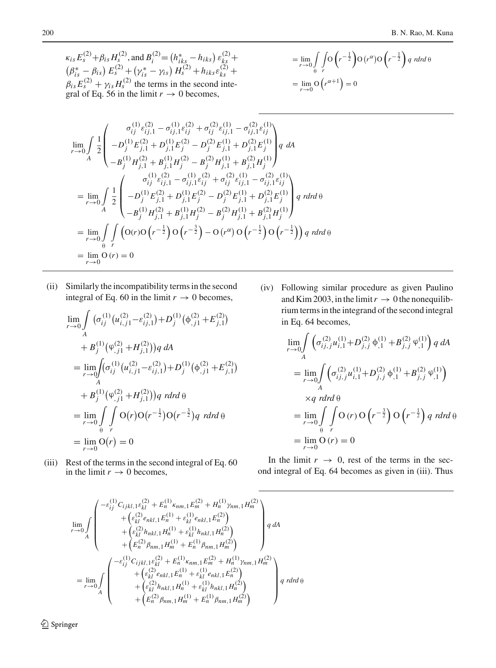$\kappa_{is} E_s^{(2)} + \beta_{is} H_s^{(2)}$ , and  $B_i^{(2)} = (h_{iks}^* - h_{iks}) \varepsilon_{ks}^{(2)} +$  $\left(\beta_{is}^* - \beta_{is}\right) E_s^{(2)} + \left(\gamma_{is}^* - \gamma_{is}\right) H_s^{(2)} + h_{iks}\varepsilon_{ks}^{(2)} +$  $\beta_{is} E_s^{(2)} + \gamma_{is} H_s^{(2)}$  the terms in the second integral of Eq. 56 in the limit  $r \to 0$  becomes,

$$
= \lim_{r \to 0} \int_{\theta} \int_{r} O\left(r^{-\frac{1}{2}}\right) O\left(r^{\alpha}\right) O\left(r^{-\frac{1}{2}}\right) q \text{ rdrd } \theta
$$

$$
= \lim_{r \to 0} O\left(r^{\alpha+1}\right) = 0
$$

$$
\lim_{r \to 0} \int \frac{1}{2} \begin{pmatrix} \sigma_{ij}^{(1)} \varepsilon_{ij,1}^{(2)} - \sigma_{ij,1}^{(1)} \varepsilon_{ij}^{(2)} + \sigma_{ij}^{(2)} \varepsilon_{ij,1}^{(1)} - \sigma_{ij,1}^{(2)} \varepsilon_{ij}^{(1)} \\ - D_j^{(1)} E_{j,1}^{(2)} + D_{j,1}^{(1)} E_j^{(2)} - D_j^{(2)} E_{j,1}^{(1)} + D_{j,1}^{(2)} E_j^{(1)} \end{pmatrix} q \ dA
$$
\n
$$
= \lim_{r \to 0} \int \frac{1}{2} \begin{pmatrix} \sigma_{ij}^{(1)} \varepsilon_{ij,1}^{(2)} - \sigma_{ij,1}^{(1)} \varepsilon_{ij}^{(2)} + \sigma_{ij,1}^{(2)} \varepsilon_{ij,1}^{(1)} + B_{j,1}^{(2)} H_j^{(1)} \end{pmatrix}
$$
\n
$$
= \lim_{r \to 0} \int \frac{1}{2} \begin{pmatrix} \sigma_{ij}^{(1)} \varepsilon_{ij,1}^{(2)} - \sigma_{ij,1}^{(1)} \varepsilon_{ij}^{(2)} + \sigma_{ij}^{(2)} \varepsilon_{ij,1}^{(1)} - \sigma_{ij,1}^{(2)} \varepsilon_{ij}^{(1)} \\ - D_j^{(1)} E_{j,1}^{(2)} + D_{j,1}^{(1)} E_j^{(2)} - D_j^{(2)} E_{j,1}^{(1)} + D_{j,1}^{(2)} E_j^{(1)} \end{pmatrix} q \ r dr d\theta
$$
\n
$$
= \lim_{r \to 0} \int \int \left( O(r) O\left( r^{-\frac{1}{2}} \right) O\left( r^{-\frac{3}{2}} \right) - O\left( r^{\alpha} \right) O\left( r^{-\frac{1}{2}} \right) O\left( r^{-\frac{1}{2}} \right) \right) q \ r dr d\theta
$$
\n
$$
= \lim_{r \to 0} O(r) = 0
$$

(ii) Similarly the incompatibility terms in the second integral of Eq. 60 in the limit  $r \to 0$  becomes,

$$
\lim_{r \to 0} \int_{A} (\sigma_{ij}^{(1)} (u_{i,j1}^{(2)} - \varepsilon_{ij,1}^{(2)}) + D_j^{(1)} (\phi_{,j1}^{(2)} + E_{j,1}^{(2)})
$$
\n
$$
+ B_j^{(1)} (\phi_{,j1}^{(2)} + H_{j,1}^{(2)})) q \, dA
$$
\n
$$
= \lim_{r \to 0} \int_{A} (\sigma_{ij}^{(1)} (u_{i,j1}^{(2)} - \varepsilon_{ij,1}^{(2)}) + D_j^{(1)} (\phi_{,j1}^{(2)} + E_{j,1}^{(2)})
$$
\n
$$
+ B_j^{(1)} (\phi_{,j1}^{(2)} + H_{j,1}^{(2)})) q \, r dr d\theta
$$
\n
$$
= \lim_{r \to 0} \int_{\theta} \int_{r} O(r) O(r^{-\frac{1}{2}}) O(r^{-\frac{3}{2}}) q \, r dr d\theta
$$
\n
$$
= \lim_{r \to 0} O(r) = 0
$$

(iii) Rest of the terms in the second integral of Eq. 60 in the limit  $r \to 0$  becomes,

(iv) Following similar procedure as given Paulino and Kim 2003, in the limit  $r \to 0$  the nonequilibrium terms in the integrand of the second integral in Eq. 64 becomes,

$$
\lim_{r \to 0} \int_{A} \left( \sigma_{ij,j}^{(2)} u_{i,1}^{(1)} + D_{j,j}^{(2)} \phi_{,1}^{(1)} + B_{j,j}^{(2)} \phi_{,1}^{(1)} \right) q \, dA
$$
\n
$$
= \lim_{r \to 0} \int_{A} \left( \sigma_{ij,j}^{(2)} u_{i,1}^{(1)} + D_{j,j}^{(2)} \phi_{,1}^{(1)} + B_{j,j}^{(2)} \phi_{,1}^{(1)} \right)
$$
\n
$$
\times q \, r \, dr \, d\theta
$$
\n
$$
= \lim_{r \to 0} \int_{\theta} \int_{r} O(r) O\left(r^{-\frac{3}{2}}\right) O\left(r^{-\frac{1}{2}}\right) q \, r \, dr \, d\theta
$$
\n
$$
= \lim_{r \to 0} O(r) = 0
$$

In the limit  $r \rightarrow 0$ , rest of the terms in the second integral of Eq. 64 becomes as given in (iii). Thus

$$
\lim_{r\to 0}\int\limits_{A}\left(\begin{array}{c} -\varepsilon_{ij}^{(1)}C_{ijkl,1}\varepsilon_{kl}^{(2)}+E_{n}^{(1)}\kappa_{nm,1}E_{m}^{(2)}+H_{n}^{(1)}\gamma_{nm,1}H_{m}^{(2)} \\ +\left(\varepsilon_{kl}^{(2)}e_{nkl,1}E_{n}^{(1)}+\varepsilon_{kl}^{(1)}e_{nkl,1}E_{n}^{(2)}\right) \\ +\left(\varepsilon_{kl}^{(2)}h_{nkl,1}H_{n}^{(1)}+\varepsilon_{kl}^{(1)}h_{nkl,1}H_{n}^{(2)}\right) \\ +\left(E_{n}^{(2)}\beta_{nm,1}H_{m}^{(1)}+E_{n}^{(1)}\beta_{nm,1}H_{m}^{(2)}\right) \end{array}\right)q\;dA
$$
\n
$$
=\lim_{r\to 0}\int\limits_{A}\left(\begin{array}{c} -\varepsilon_{ij}^{(1)}C_{ijkl,1}\varepsilon_{kl}^{(2)}+E_{n}^{(1)}\kappa_{nm,1}E_{m}^{(2)}+H_{n}^{(1)}\gamma_{nm,1}H_{m}^{(2)} \\ +\left(\varepsilon_{kl}^{(2)}e_{nkl,1}E_{n}^{(1)}+\varepsilon_{kl}^{(1)}e_{nkl,1}E_{n}^{(2)}\right) \\ +\left(\varepsilon_{kl}^{(2)}h_{nkl,1}H_{n}^{(1)}+\varepsilon_{kl}^{(1)}h_{nkl,1}H_{n}^{(2)}\right) \\ +\left(E_{n}^{(2)}\beta_{nm,1}H_{m}^{(1)}+E_{n}^{(1)}\beta_{nm,1}H_{m}^{(2)}\right) \end{array}\right)q\;rdrd\theta
$$

 $\mathcal{D}$  Springer